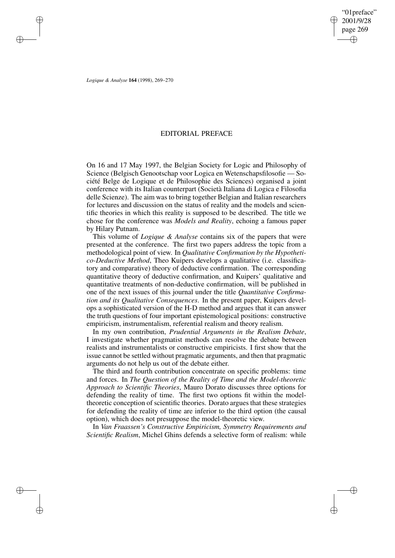## EDITORIAL PREFACE

On 16 and 17 May 1997, the Belgian Society for Logic and Philosophy of Science (Belgisch Genootschap voor Logica en Wetenschapsfilosofie — Société Belge de Logique et de Philosophie des Sciences) organised a joint conference with its Italian counterpart (Società Italiana di Logica e Filosofia delle Scienze). The aim was to bring together Belgian and Italian researchers for lectures and discussion on the status of reality and the models and scientific theories in which this reality is supposed to be described. The title we chose for the conference was *Models and Reality*, echoing a famous paper by Hilary Putnam.

This volume of *Logique & Analyse* contains six of the papers that were presented at the conference. The first two papers address the topic from a methodological point of view. In *Qualitative Confirmation by the Hypothetico-Deductive Method*, Theo Kuipers develops a qualitative (i.e. classificatory and comparative) theory of deductive confirmation. The corresponding quantitative theory of deductive confirmation, and Kuipers' qualitative and quantitative treatments of non-deductive confirmation, will be published in one of the next issues of this journal under the title *Quantitative Confirmation and its Qualitative Consequences*. In the present paper, Kuipers develops a sophisticated version of the H-D method and argues that it can answer the truth questions of four important epistemological positions: constructive empiricism, instrumentalism, referential realism and theory realism.

In my own contribution, *Prudential Arguments in the Realism Debate*, I investigate whether pragmatist methods can resolve the debate between realists and instrumentalists or constructive empiricists. I first show that the issue cannot be settled without pragmatic arguments, and then that pragmatic arguments do not help us out of the debate either.

The third and fourth contribution concentrate on specific problems: time and forces. In *The Question of the Reality of Time and the Model-theoretic Approach to Scientific Theories*, Mauro Dorato discusses three options for defending the reality of time. The first two options fit within the modeltheoretic conception of scientific theories. Dorato argues that these strategies for defending the reality of time are inferior to the third option (the causal option), which does not presuppose the model-theoretic view.

In *Van Fraassen's Constructive Empiricism, Symmetry Requirements and Scientific Realism*, Michel Ghins defends a selective form of realism: while